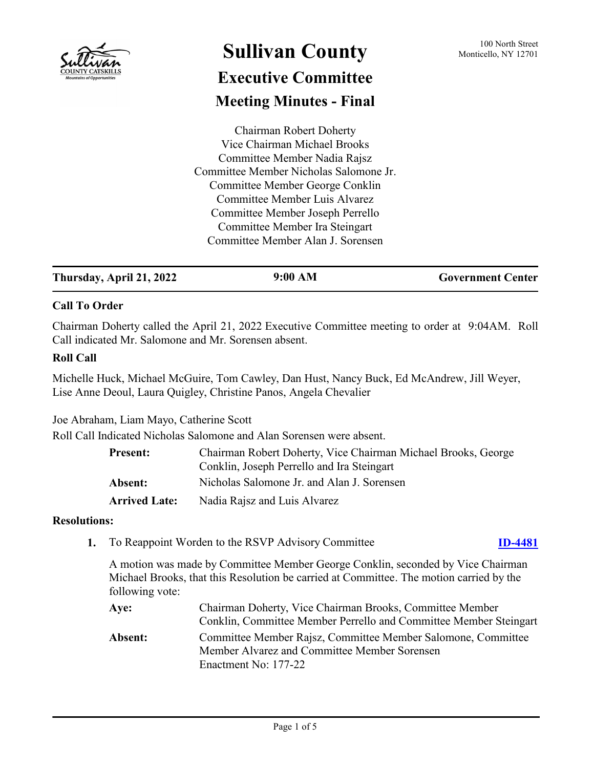

# **Sullivan County** 100 North Street 100 North Street **Executive Committee Meeting Minutes - Final**

Chairman Robert Doherty Vice Chairman Michael Brooks Committee Member Nadia Rajsz Committee Member Nicholas Salomone Jr. Committee Member George Conklin Committee Member Luis Alvarez Committee Member Joseph Perrello Committee Member Ira Steingart Committee Member Alan J. Sorensen

| Thursday, April 21, 2022 | 9:00 AM | <b>Government Center</b> |
|--------------------------|---------|--------------------------|
|--------------------------|---------|--------------------------|

# **Call To Order**

Chairman Doherty called the April 21, 2022 Executive Committee meeting to order at 9:04AM. Roll Call indicated Mr. Salomone and Mr. Sorensen absent.

# **Roll Call**

Michelle Huck, Michael McGuire, Tom Cawley, Dan Hust, Nancy Buck, Ed McAndrew, Jill Weyer, Lise Anne Deoul, Laura Quigley, Christine Panos, Angela Chevalier

Joe Abraham, Liam Mayo, Catherine Scott

Roll Call Indicated Nicholas Salomone and Alan Sorensen were absent.

| <b>Present:</b>      | Chairman Robert Doherty, Vice Chairman Michael Brooks, George<br>Conklin, Joseph Perrello and Ira Steingart |
|----------------------|-------------------------------------------------------------------------------------------------------------|
| <b>Absent:</b>       | Nicholas Salomone Jr. and Alan J. Sorensen                                                                  |
| <b>Arrived Late:</b> | Nadia Rajsz and Luis Alvarez                                                                                |

## **Resolutions:**

**1.** To Reappoint Worden to the RSVP Advisory Committee **[ID-4481](http://sullivancountyny.legistar.com/gateway.aspx?m=l&id=/matter.aspx?key=1507)**

A motion was made by Committee Member George Conklin, seconded by Vice Chairman Michael Brooks, that this Resolution be carried at Committee. The motion carried by the following vote:

| Aye:    | Chairman Doherty, Vice Chairman Brooks, Committee Member          |
|---------|-------------------------------------------------------------------|
|         | Conklin, Committee Member Perrello and Committee Member Steingart |
| Absent: | Committee Member Rajsz, Committee Member Salomone, Committee      |
|         | Member Alvarez and Committee Member Sorensen                      |
|         | Enactment No: 177-22                                              |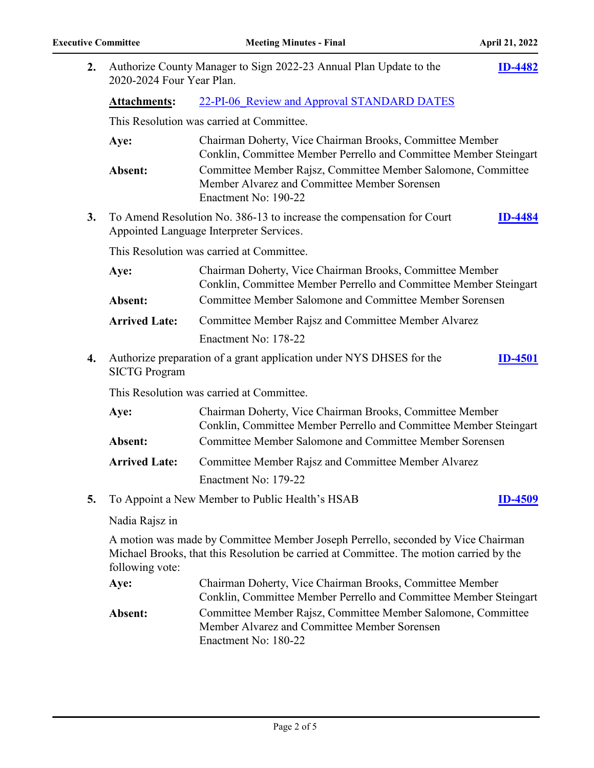| 2. | Authorize County Manager to Sign 2022-23 Annual Plan Update to the<br>2020-2024 Four Year Plan. |                                                                                                                                                                             | <b>ID-4482</b> |
|----|-------------------------------------------------------------------------------------------------|-----------------------------------------------------------------------------------------------------------------------------------------------------------------------------|----------------|
|    | <b>Attachments:</b>                                                                             | 22-PI-06 Review and Approval STANDARD DATES                                                                                                                                 |                |
|    |                                                                                                 | This Resolution was carried at Committee.                                                                                                                                   |                |
|    | Aye:                                                                                            | Chairman Doherty, Vice Chairman Brooks, Committee Member<br>Conklin, Committee Member Perrello and Committee Member Steingart                                               |                |
|    | Absent:                                                                                         | Committee Member Rajsz, Committee Member Salomone, Committee<br>Member Alvarez and Committee Member Sorensen<br>Enactment No: 190-22                                        |                |
| 3. |                                                                                                 | To Amend Resolution No. 386-13 to increase the compensation for Court<br>Appointed Language Interpreter Services.                                                           | <b>ID-4484</b> |
|    | This Resolution was carried at Committee.                                                       |                                                                                                                                                                             |                |
|    | Aye:                                                                                            | Chairman Doherty, Vice Chairman Brooks, Committee Member<br>Conklin, Committee Member Perrello and Committee Member Steingart                                               |                |
|    | Absent:                                                                                         | Committee Member Salomone and Committee Member Sorensen                                                                                                                     |                |
|    | <b>Arrived Late:</b>                                                                            | Committee Member Rajsz and Committee Member Alvarez                                                                                                                         |                |
|    |                                                                                                 | Enactment No: 178-22                                                                                                                                                        |                |
| 4. | <b>SICTG Program</b>                                                                            | Authorize preparation of a grant application under NYS DHSES for the                                                                                                        | <b>ID-4501</b> |
|    |                                                                                                 | This Resolution was carried at Committee.                                                                                                                                   |                |
|    | Aye:                                                                                            | Chairman Doherty, Vice Chairman Brooks, Committee Member<br>Conklin, Committee Member Perrello and Committee Member Steingart                                               |                |
|    | Absent:                                                                                         | Committee Member Salomone and Committee Member Sorensen                                                                                                                     |                |
|    | <b>Arrived Late:</b>                                                                            | Committee Member Rajsz and Committee Member Alvarez                                                                                                                         |                |
|    |                                                                                                 | Enactment No: 179-22                                                                                                                                                        |                |
| 5. |                                                                                                 | To Appoint a New Member to Public Health's HSAB                                                                                                                             | <b>ID-4509</b> |
|    | Nadia Rajsz in                                                                                  |                                                                                                                                                                             |                |
|    | following vote:                                                                                 | A motion was made by Committee Member Joseph Perrello, seconded by Vice Chairman<br>Michael Brooks, that this Resolution be carried at Committee. The motion carried by the |                |
|    | Aye:                                                                                            | Chairman Doherty, Vice Chairman Brooks, Committee Member<br>Conklin, Committee Member Perrello and Committee Member Steingart                                               |                |
|    | Absent:                                                                                         | Committee Member Rajsz, Committee Member Salomone, Committee<br>Member Alvarez and Committee Member Sorensen<br>Enactment No: 180-22                                        |                |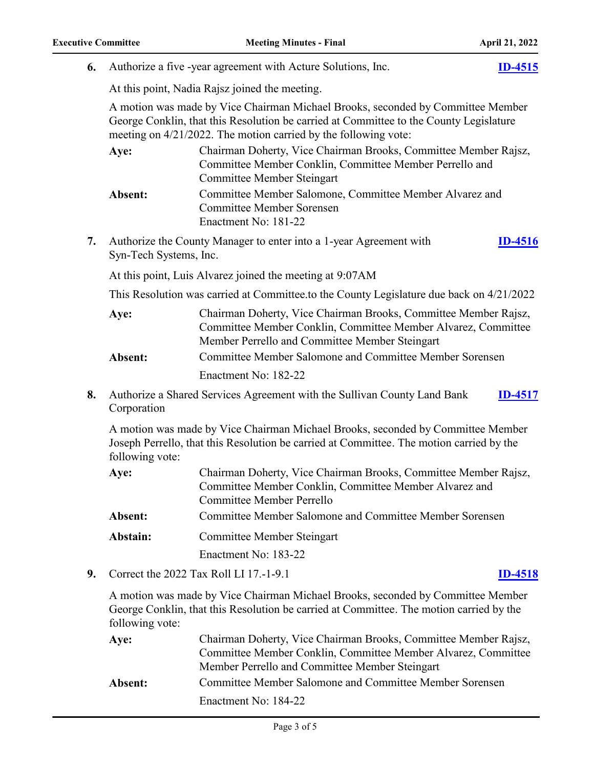**6.** Authorize a five -year agreement with Acture Solutions, Inc. **[ID-4515](http://sullivancountyny.legistar.com/gateway.aspx?m=l&id=/matter.aspx?key=1541)**

|    |                        | At this point, Nadia Rajsz joined the meeting.                                                                                                                                                                                               |                |
|----|------------------------|----------------------------------------------------------------------------------------------------------------------------------------------------------------------------------------------------------------------------------------------|----------------|
|    |                        | A motion was made by Vice Chairman Michael Brooks, seconded by Committee Member<br>George Conklin, that this Resolution be carried at Committee to the County Legislature<br>meeting on 4/21/2022. The motion carried by the following vote: |                |
|    | Aye:                   | Chairman Doherty, Vice Chairman Brooks, Committee Member Rajsz,<br>Committee Member Conklin, Committee Member Perrello and<br><b>Committee Member Steingart</b>                                                                              |                |
|    | Absent:                | Committee Member Salomone, Committee Member Alvarez and<br><b>Committee Member Sorensen</b><br>Enactment No: 181-22                                                                                                                          |                |
| 7. | Syn-Tech Systems, Inc. | Authorize the County Manager to enter into a 1-year Agreement with                                                                                                                                                                           | <b>ID-4516</b> |
|    |                        | At this point, Luis Alvarez joined the meeting at 9:07AM                                                                                                                                                                                     |                |
|    |                        | This Resolution was carried at Committee.to the County Legislature due back on 4/21/2022                                                                                                                                                     |                |
|    | Aye:                   | Chairman Doherty, Vice Chairman Brooks, Committee Member Rajsz,<br>Committee Member Conklin, Committee Member Alvarez, Committee<br>Member Perrello and Committee Member Steingart                                                           |                |
|    | Absent:                | Committee Member Salomone and Committee Member Sorensen                                                                                                                                                                                      |                |
|    |                        | Enactment No: 182-22                                                                                                                                                                                                                         |                |
| 8. | Corporation            | Authorize a Shared Services Agreement with the Sullivan County Land Bank                                                                                                                                                                     | <b>ID-4517</b> |
|    | following vote:        | A motion was made by Vice Chairman Michael Brooks, seconded by Committee Member<br>Joseph Perrello, that this Resolution be carried at Committee. The motion carried by the                                                                  |                |
|    | Aye:                   | Chairman Doherty, Vice Chairman Brooks, Committee Member Rajsz,<br>Committee Member Conklin, Committee Member Alvarez and<br>Committee Member Perrello                                                                                       |                |
|    | Absent:                | Committee Member Salomone and Committee Member Sorensen                                                                                                                                                                                      |                |
|    | Abstain:               | <b>Committee Member Steingart</b>                                                                                                                                                                                                            |                |
|    |                        | Enactment No: 183-22                                                                                                                                                                                                                         |                |
| 9. |                        | Correct the 2022 Tax Roll LI 17.-1-9.1                                                                                                                                                                                                       | <b>ID-4518</b> |
|    | following vote:        | A motion was made by Vice Chairman Michael Brooks, seconded by Committee Member<br>George Conklin, that this Resolution be carried at Committee. The motion carried by the                                                                   |                |
|    | Aye:                   | Chairman Doherty, Vice Chairman Brooks, Committee Member Rajsz,<br>Committee Member Conklin, Committee Member Alvarez, Committee                                                                                                             |                |

Member Perrello and Committee Member Steingart **Absent:** Committee Member Salomone and Committee Member Sorensen Enactment No: 184-22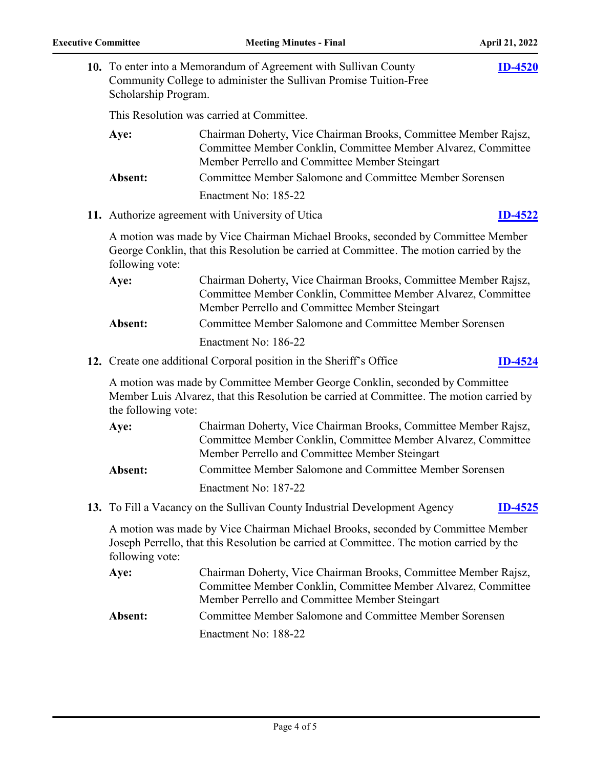| Scholarship Program. | 10. To enter into a Memorandum of Agreement with Sullivan County<br>Community College to administer the Sullivan Promise Tuition-Free                                              | <b>ID-4520</b> |
|----------------------|------------------------------------------------------------------------------------------------------------------------------------------------------------------------------------|----------------|
|                      | This Resolution was carried at Committee.                                                                                                                                          |                |
| Aye:                 | Chairman Doherty, Vice Chairman Brooks, Committee Member Rajsz,<br>Committee Member Conklin, Committee Member Alvarez, Committee<br>Member Perrello and Committee Member Steingart |                |
| Absent:              | Committee Member Salomone and Committee Member Sorensen                                                                                                                            |                |
|                      | Enactment No: 185-22                                                                                                                                                               |                |
|                      | 11. Authorize agreement with University of Utica                                                                                                                                   | <b>ID-4522</b> |
| following vote:      | A motion was made by Vice Chairman Michael Brooks, seconded by Committee Member<br>George Conklin, that this Resolution be carried at Committee. The motion carried by the         |                |
| Aye:                 | Chairman Doherty, Vice Chairman Brooks, Committee Member Rajsz,<br>Committee Member Conklin, Committee Member Alvarez, Committee<br>Member Perrello and Committee Member Steingart |                |
| Absent:              | Committee Member Salomone and Committee Member Sorensen                                                                                                                            |                |
|                      | Enactment No: 186-22                                                                                                                                                               |                |
|                      | 12. Create one additional Corporal position in the Sheriff's Office                                                                                                                | <b>ID-4524</b> |
| the following vote:  | A motion was made by Committee Member George Conklin, seconded by Committee<br>Member Luis Alvarez, that this Resolution be carried at Committee. The motion carried by            |                |
| Aye:                 | Chairman Doherty, Vice Chairman Brooks, Committee Member Rajsz,<br>Committee Member Conklin, Committee Member Alvarez, Committee<br>Member Perrello and Committee Member Steingart |                |
| Absent:              | Committee Member Salomone and Committee Member Sorensen                                                                                                                            |                |
|                      | Enactment No: 187-22                                                                                                                                                               |                |
|                      | 13. To Fill a Vacancy on the Sullivan County Industrial Development Agency                                                                                                         | <b>ID-4525</b> |
| following vote:      | A motion was made by Vice Chairman Michael Brooks, seconded by Committee Member<br>Joseph Perrello, that this Resolution be carried at Committee. The motion carried by the        |                |
| Aye:                 | Chairman Doherty, Vice Chairman Brooks, Committee Member Rajsz,<br>Committee Member Conklin, Committee Member Alvarez, Committee<br>Member Perrello and Committee Member Steingart |                |
| Absent:              | Committee Member Salomone and Committee Member Sorensen                                                                                                                            |                |

Enactment No: 188-22